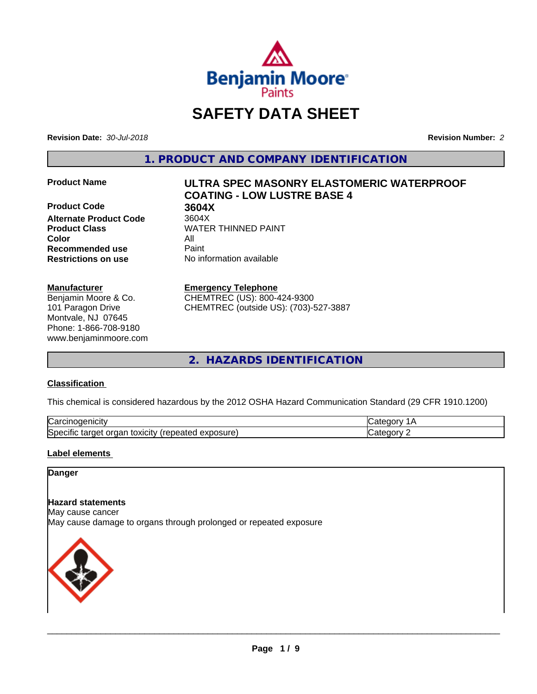

# **SAFETY DATA SHEET**

**Revision Date:** *30-Jul-2018* **Revision Number:** *2*

**1. PRODUCT AND COMPANY IDENTIFICATION**

**Product Code 3604X**<br> **Alternate Product Code** 3604X **Alternate Product Code Color** All **Recommended use** Paint **Restrictions on use** No information available

#### **Manufacturer**

Benjamin Moore & Co. 101 Paragon Drive Montvale, NJ 07645 Phone: 1-866-708-9180 www.benjaminmoore.com

# **Product Name ULTRA SPEC MASONRY ELASTOMERIC WATERPROOF COATING - LOW LUSTRE BASE 4**

**Product Class WATER THINNED PAINT** 

#### **Emergency Telephone**

CHEMTREC (US): 800-424-9300 CHEMTREC (outside US): (703)-527-3887

**2. HAZARDS IDENTIFICATION**

#### **Classification**

This chemical is considered hazardous by the 2012 OSHA Hazard Communication Standard (29 CFR 1910.1200)

| ∽<br>. <b>.</b><br>.<br>∕ar —<br>IICIU                                                 |         |
|----------------------------------------------------------------------------------------|---------|
| <b>OSUre</b><br>٠.<br>toxicitv<br>50e<br>orgar<br>. iarder<br>зни<br>$\cdots$<br>50160 | -- - -- |

#### **Label elements**

#### **Danger**

#### **Hazard statements**

May cause cancer

May cause damage to organs through prolonged or repeated exposure

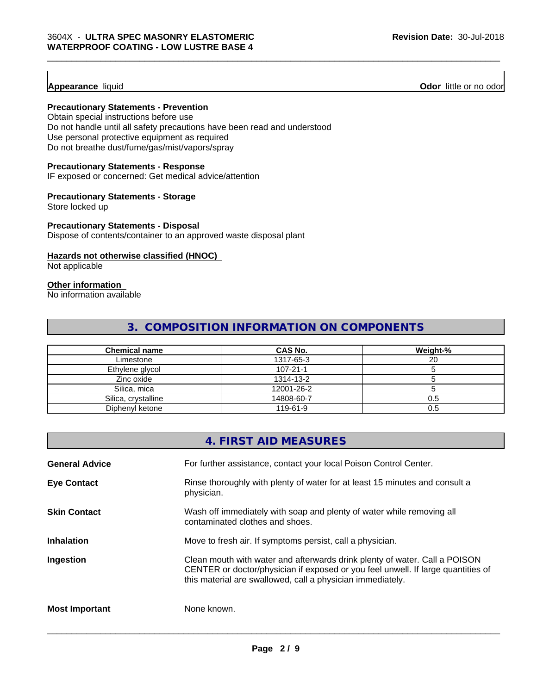### **Appearance** liquid

**Odor** little or no odor

#### **Precautionary Statements - Prevention**

Obtain special instructions before use Do not handle until all safety precautions have been read and understood Use personal protective equipment as required Do not breathe dust/fume/gas/mist/vapors/spray

#### **Precautionary Statements - Response**

IF exposed or concerned: Get medical advice/attention

#### **Precautionary Statements - Storage**

Store locked up

#### **Precautionary Statements - Disposal**

Dispose of contents/container to an approved waste disposal plant

#### **Hazards not otherwise classified (HNOC)**

Not applicable

# **Other information**

No information available

# **3. COMPOSITION INFORMATION ON COMPONENTS**

| Chemical name       | CAS No.        | Weight-% |
|---------------------|----------------|----------|
| Limestone           | 1317-65-3      | 20       |
| Ethylene glycol     | $107 - 21 - 1$ |          |
| Zinc oxide          | 1314-13-2      |          |
| Silica, mica        | 12001-26-2     |          |
| Silica, crystalline | 14808-60-7     | 0.5      |
| Diphenyl ketone     | 119-61-9       | 0.5      |

### **4. FIRST AID MEASURES**

| <b>General Advice</b> | For further assistance, contact your local Poison Control Center.                                                                                                                                                            |
|-----------------------|------------------------------------------------------------------------------------------------------------------------------------------------------------------------------------------------------------------------------|
| <b>Eye Contact</b>    | Rinse thoroughly with plenty of water for at least 15 minutes and consult a<br>physician.                                                                                                                                    |
| <b>Skin Contact</b>   | Wash off immediately with soap and plenty of water while removing all<br>contaminated clothes and shoes.                                                                                                                     |
| <b>Inhalation</b>     | Move to fresh air. If symptoms persist, call a physician.                                                                                                                                                                    |
| Ingestion             | Clean mouth with water and afterwards drink plenty of water. Call a POISON<br>CENTER or doctor/physician if exposed or you feel unwell. If large quantities of<br>this material are swallowed, call a physician immediately. |
| <b>Most Important</b> | None known.                                                                                                                                                                                                                  |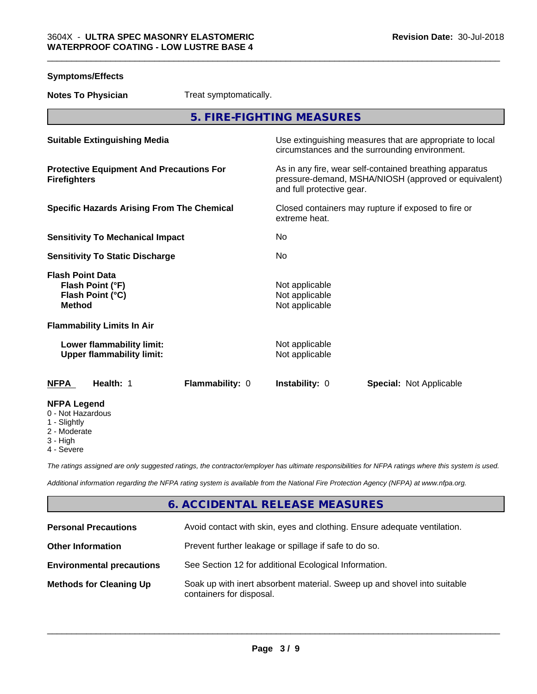| <b>Symptoms/Effects</b>                                                          |                                                                                                                                              |
|----------------------------------------------------------------------------------|----------------------------------------------------------------------------------------------------------------------------------------------|
| Treat symptomatically.<br><b>Notes To Physician</b>                              |                                                                                                                                              |
|                                                                                  | 5. FIRE-FIGHTING MEASURES                                                                                                                    |
| <b>Suitable Extinguishing Media</b>                                              | Use extinguishing measures that are appropriate to local<br>circumstances and the surrounding environment.                                   |
| <b>Protective Equipment And Precautions For</b><br><b>Firefighters</b>           | As in any fire, wear self-contained breathing apparatus<br>pressure-demand, MSHA/NIOSH (approved or equivalent)<br>and full protective gear. |
| <b>Specific Hazards Arising From The Chemical</b>                                | Closed containers may rupture if exposed to fire or<br>extreme heat.                                                                         |
| <b>Sensitivity To Mechanical Impact</b>                                          | No                                                                                                                                           |
| <b>Sensitivity To Static Discharge</b>                                           | No                                                                                                                                           |
| <b>Flash Point Data</b><br>Flash Point (°F)<br>Flash Point (°C)<br><b>Method</b> | Not applicable<br>Not applicable<br>Not applicable                                                                                           |
| <b>Flammability Limits In Air</b>                                                |                                                                                                                                              |
| Lower flammability limit:<br><b>Upper flammability limit:</b>                    | Not applicable<br>Not applicable                                                                                                             |
|                                                                                  |                                                                                                                                              |

#### **NFPA Legend**

- 0 Not Hazardous
- 1 Slightly
- 2 Moderate
- 3 High
- 4 Severe

*The ratings assigned are only suggested ratings, the contractor/employer has ultimate responsibilities for NFPA ratings where this system is used.*

*Additional information regarding the NFPA rating system is available from the National Fire Protection Agency (NFPA) at www.nfpa.org.*

**NFPA Health:** 1 **Flammability:** 0 **Instability:** 0 **Special:** Not Applicable

# **6. ACCIDENTAL RELEASE MEASURES**

| <b>Personal Precautions</b>      | Avoid contact with skin, eyes and clothing. Ensure adequate ventilation.                             |
|----------------------------------|------------------------------------------------------------------------------------------------------|
| <b>Other Information</b>         | Prevent further leakage or spillage if safe to do so.                                                |
| <b>Environmental precautions</b> | See Section 12 for additional Ecological Information.                                                |
| <b>Methods for Cleaning Up</b>   | Soak up with inert absorbent material. Sweep up and shovel into suitable<br>containers for disposal. |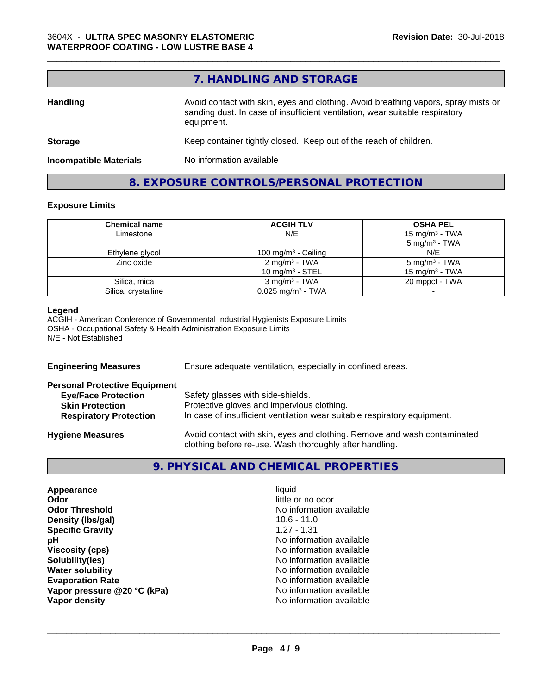# **7. HANDLING AND STORAGE**

| <b>Handling</b>               | Avoid contact with skin, eyes and clothing. Avoid breathing vapors, spray mists or<br>sanding dust. In case of insufficient ventilation, wear suitable respiratory<br>equipment. |  |
|-------------------------------|----------------------------------------------------------------------------------------------------------------------------------------------------------------------------------|--|
| <b>Storage</b>                | Keep container tightly closed. Keep out of the reach of children.                                                                                                                |  |
| <b>Incompatible Materials</b> | No information available                                                                                                                                                         |  |

# **8. EXPOSURE CONTROLS/PERSONAL PROTECTION**

#### **Exposure Limits**

| <b>Chemical name</b> | <b>ACGIH TLV</b>                | <b>OSHA PEL</b>                                        |
|----------------------|---------------------------------|--------------------------------------------------------|
| Limestone            | N/E                             | 15 mg/m <sup>3</sup> - TWA<br>$5 \text{ mg/m}^3$ - TWA |
| Ethylene glycol      | 100 mg/m <sup>3</sup> - Ceiling | N/E                                                    |
| Zinc oxide           | $2 \text{ mg/m}^3$ - TWA        | $5 \text{ mg/m}^3$ - TWA                               |
|                      | 10 mg/m <sup>3</sup> - STEL     | 15 mg/m <sup>3</sup> - TWA                             |
| Silica, mica         | $3 \text{ mg/m}^3$ - TWA        | 20 mppcf - TWA                                         |
| Silica, crystalline  | $0.025$ mg/m <sup>3</sup> - TWA |                                                        |

#### **Legend**

ACGIH - American Conference of Governmental Industrial Hygienists Exposure Limits OSHA - Occupational Safety & Health Administration Exposure Limits N/E - Not Established

| <b>Engineering Measures</b>          | Ensure adequate ventilation, especially in confined areas.                                                                          |  |
|--------------------------------------|-------------------------------------------------------------------------------------------------------------------------------------|--|
| <b>Personal Protective Equipment</b> |                                                                                                                                     |  |
| <b>Eye/Face Protection</b>           | Safety glasses with side-shields.                                                                                                   |  |
| <b>Skin Protection</b>               | Protective gloves and impervious clothing.                                                                                          |  |
| <b>Respiratory Protection</b>        | In case of insufficient ventilation wear suitable respiratory equipment.                                                            |  |
| <b>Hygiene Measures</b>              | Avoid contact with skin, eyes and clothing. Remove and wash contaminated<br>clothing before re-use. Wash thoroughly after handling. |  |
|                                      |                                                                                                                                     |  |

# **9. PHYSICAL AND CHEMICAL PROPERTIES**

| Appearance                  | liquid                   |
|-----------------------------|--------------------------|
| Odor                        | little or no odor        |
| <b>Odor Threshold</b>       | No information available |
| Density (Ibs/gal)           | $10.6 - 11.0$            |
| <b>Specific Gravity</b>     | $1.27 - 1.31$            |
| рH                          | No information available |
| <b>Viscosity (cps)</b>      | No information available |
| Solubility(ies)             | No information available |
| <b>Water solubility</b>     | No information available |
| <b>Evaporation Rate</b>     | No information available |
| Vapor pressure @20 °C (kPa) | No information available |
| Vapor density               | No information available |
|                             |                          |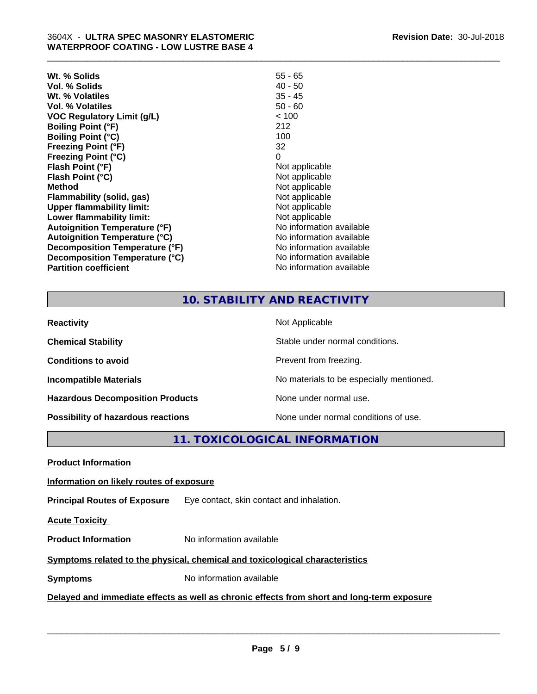| Wt. % Solids                         | $55 - 65$                |
|--------------------------------------|--------------------------|
| Vol. % Solids                        | $40 - 50$                |
| Wt. % Volatiles                      | $35 - 45$                |
| Vol. % Volatiles                     | $50 - 60$                |
| <b>VOC Regulatory Limit (g/L)</b>    | < 100                    |
| <b>Boiling Point (°F)</b>            | 212                      |
| <b>Boiling Point (°C)</b>            | 100                      |
| <b>Freezing Point (°F)</b>           | 32                       |
| <b>Freezing Point (°C)</b>           | 0                        |
| Flash Point (°F)                     | Not applicable           |
| Flash Point (°C)                     | Not applicable           |
| <b>Method</b>                        | Not applicable           |
| Flammability (solid, gas)            | Not applicable           |
| <b>Upper flammability limit:</b>     | Not applicable           |
| Lower flammability limit:            | Not applicable           |
| <b>Autoignition Temperature (°F)</b> | No information available |
| <b>Autoignition Temperature (°C)</b> | No information available |
| Decomposition Temperature (°F)       | No information available |
| Decomposition Temperature (°C)       | No information available |
| <b>Partition coefficient</b>         | No information available |

# **10. STABILITY AND REACTIVITY**

\_\_\_\_\_\_\_\_\_\_\_\_\_\_\_\_\_\_\_\_\_\_\_\_\_\_\_\_\_\_\_\_\_\_\_\_\_\_\_\_\_\_\_\_\_\_\_\_\_\_\_\_\_\_\_\_\_\_\_\_\_\_\_\_\_\_\_\_\_\_\_\_\_\_\_\_\_\_\_\_\_\_\_\_\_\_\_\_\_\_\_\_\_

| <b>Reactivity</b>                       | Not Applicable                           |
|-----------------------------------------|------------------------------------------|
| <b>Chemical Stability</b>               | Stable under normal conditions.          |
| <b>Conditions to avoid</b>              | Prevent from freezing.                   |
| <b>Incompatible Materials</b>           | No materials to be especially mentioned. |
| <b>Hazardous Decomposition Products</b> | None under normal use.                   |
| Possibility of hazardous reactions      | None under normal conditions of use.     |

**11. TOXICOLOGICAL INFORMATION**

**Product Information**

#### **Information on likely routes of exposure**

**Principal Routes of Exposure** Eye contact, skin contact and inhalation.

**Acute Toxicity** 

**Product Information** No information available

### **Symptoms related to the physical,chemical and toxicological characteristics**

**Symptoms** No information available

# **Delayed and immediate effects as well as chronic effects from short and long-term exposure**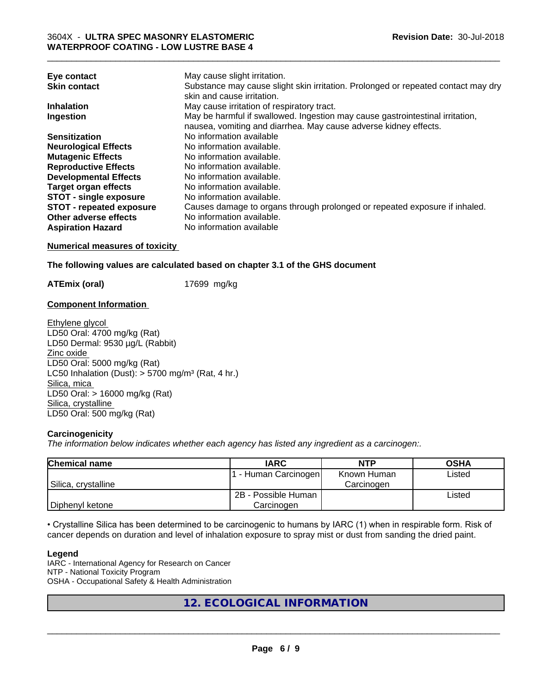| Eye contact                     | May cause slight irritation.                                                                                    |
|---------------------------------|-----------------------------------------------------------------------------------------------------------------|
| <b>Skin contact</b>             | Substance may cause slight skin irritation. Prolonged or repeated contact may dry<br>skin and cause irritation. |
| <b>Inhalation</b>               | May cause irritation of respiratory tract.                                                                      |
| Ingestion                       | May be harmful if swallowed. Ingestion may cause gastrointestinal irritation,                                   |
|                                 | nausea, vomiting and diarrhea. May cause adverse kidney effects.                                                |
| <b>Sensitization</b>            | No information available                                                                                        |
| <b>Neurological Effects</b>     | No information available.                                                                                       |
| <b>Mutagenic Effects</b>        | No information available.                                                                                       |
| <b>Reproductive Effects</b>     | No information available.                                                                                       |
| <b>Developmental Effects</b>    | No information available.                                                                                       |
| <b>Target organ effects</b>     | No information available.                                                                                       |
| <b>STOT - single exposure</b>   | No information available.                                                                                       |
| <b>STOT - repeated exposure</b> | Causes damage to organs through prolonged or repeated exposure if inhaled.                                      |
| Other adverse effects           | No information available.                                                                                       |
| <b>Aspiration Hazard</b>        | No information available                                                                                        |

\_\_\_\_\_\_\_\_\_\_\_\_\_\_\_\_\_\_\_\_\_\_\_\_\_\_\_\_\_\_\_\_\_\_\_\_\_\_\_\_\_\_\_\_\_\_\_\_\_\_\_\_\_\_\_\_\_\_\_\_\_\_\_\_\_\_\_\_\_\_\_\_\_\_\_\_\_\_\_\_\_\_\_\_\_\_\_\_\_\_\_\_\_

#### **Numerical measures of toxicity**

#### **The following values are calculated based on chapter 3.1 of the GHS document**

**ATEmix (oral)** 17699 mg/kg

#### **Component Information**

Ethylene glycol LD50 Oral: 4700 mg/kg (Rat) LD50 Dermal: 9530 µg/L (Rabbit) Zinc oxide LD50 Oral: 5000 mg/kg (Rat) LC50 Inhalation (Dust):  $> 5700$  mg/m<sup>3</sup> (Rat, 4 hr.) Silica, mica LD50 Oral: > 16000 mg/kg (Rat) Silica, crystalline LD50 Oral: 500 mg/kg (Rat)

#### **Carcinogenicity**

*The information below indicateswhether each agency has listed any ingredient as a carcinogen:.*

| <b>Chemical name</b> | <b>IARC</b>          | <b>NTP</b>  | <b>OSHA</b> |
|----------------------|----------------------|-------------|-------------|
|                      | . - Human Carcinogen | Known Human | Listed      |
| Silica, crystalline  |                      | Carcinogen  |             |
|                      | 2B - Possible Human  |             | Listed      |
| Diphenyl ketone      | Carcinogen           |             |             |

• Crystalline Silica has been determined to be carcinogenic to humans by IARC (1) when in respirable form. Risk of cancer depends on duration and level of inhalation exposure to spray mist or dust from sanding the dried paint.

#### **Legend**

IARC - International Agency for Research on Cancer NTP - National Toxicity Program OSHA - Occupational Safety & Health Administration

**12. ECOLOGICAL INFORMATION**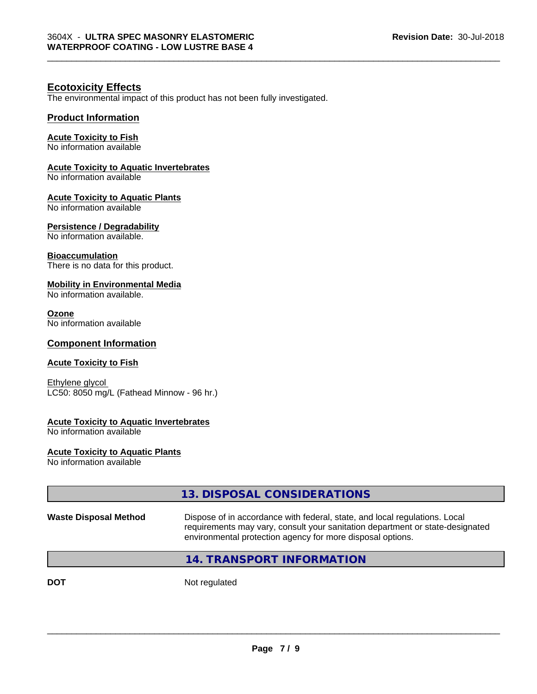# **Ecotoxicity Effects**

The environmental impact of this product has not been fully investigated.

#### **Product Information**

#### **Acute Toxicity to Fish**

No information available

#### **Acute Toxicity to Aquatic Invertebrates**

No information available

#### **Acute Toxicity to Aquatic Plants**

No information available

#### **Persistence / Degradability**

No information available.

#### **Bioaccumulation**

There is no data for this product.

#### **Mobility in Environmental Media**

No information available.

#### **Ozone**

No information available

#### **Component Information**

#### **Acute Toxicity to Fish**

Ethylene glycol LC50: 8050 mg/L (Fathead Minnow - 96 hr.)

#### **Acute Toxicity to Aquatic Invertebrates**

No information available

#### **Acute Toxicity to Aquatic Plants**

No information available

|                              | 13. DISPOSAL CONSIDERATIONS                                                                                                                                                                                               |
|------------------------------|---------------------------------------------------------------------------------------------------------------------------------------------------------------------------------------------------------------------------|
| <b>Waste Disposal Method</b> | Dispose of in accordance with federal, state, and local regulations. Local<br>requirements may vary, consult your sanitation department or state-designated<br>environmental protection agency for more disposal options. |
|                              | 14. TRANSPORT INFORMATION                                                                                                                                                                                                 |
|                              |                                                                                                                                                                                                                           |

**DOT** Not regulated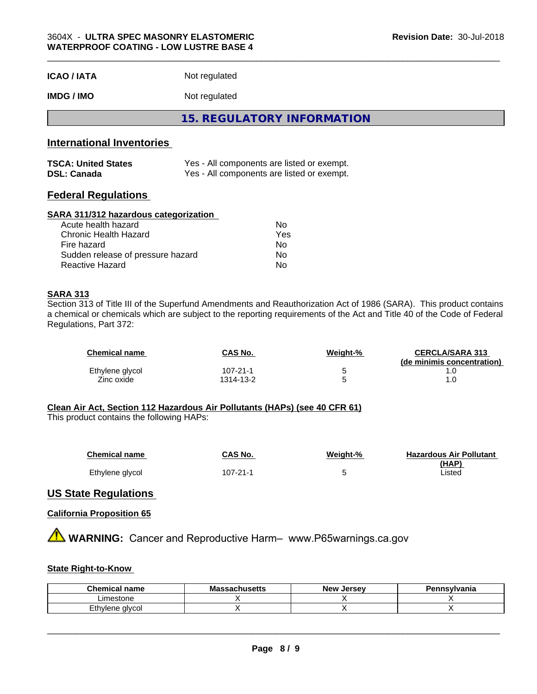| <b>ICAO/IATA</b> | Not regulated |  |
|------------------|---------------|--|
|------------------|---------------|--|

**IMDG / IMO** Not regulated

**15. REGULATORY INFORMATION**

# **International Inventories**

| <b>TSCA: United States</b> | Yes - All components are listed or exempt. |
|----------------------------|--------------------------------------------|
| <b>DSL: Canada</b>         | Yes - All components are listed or exempt. |

#### **Federal Regulations**

#### **SARA 311/312 hazardous categorization**

| Acute health hazard               | Nο  |  |
|-----------------------------------|-----|--|
| Chronic Health Hazard             | Yes |  |
| Fire hazard                       | Nο  |  |
| Sudden release of pressure hazard | N٥  |  |
| Reactive Hazard                   | Nο  |  |

#### **SARA 313**

Section 313 of Title III of the Superfund Amendments and Reauthorization Act of 1986 (SARA). This product contains a chemical or chemicals which are subject to the reporting requirements of the Act and Title 40 of the Code of Federal Regulations, Part 372:

| <b>Chemical name</b> | CAS No.   | Weight-% | <b>CERCLA/SARA 313</b><br>(de minimis concentration) |
|----------------------|-----------|----------|------------------------------------------------------|
| Ethylene glycol      | 107-21-1  |          |                                                      |
| Zinc oxide           | 1314-13-2 |          |                                                      |

#### **Clean Air Act,Section 112 Hazardous Air Pollutants (HAPs) (see 40 CFR 61)**

This product contains the following HAPs:

| <b>Chemical name</b> | CAS No.  | Weight-% | <b>Hazardous Air Pollutant</b> |
|----------------------|----------|----------|--------------------------------|
|                      |          |          | (HAP)                          |
| Ethylene glycol      | 107-21-1 |          | Listed                         |

#### **US State Regulations**

#### **California Proposition 65**

**A WARNING:** Cancer and Reproductive Harm– www.P65warnings.ca.gov

#### **State Right-to-Know**

| Chemical<br>name           | . .<br>Massachusetts | <b>New</b><br>. Jersev | ennsvlvania |
|----------------------------|----------------------|------------------------|-------------|
| imestone                   |                      |                        |             |
| thylene<br>: alvcol<br>—u™ |                      |                        |             |